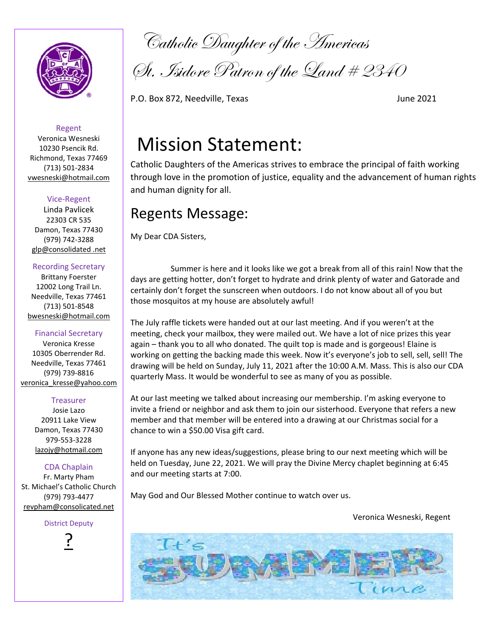

Catholic Daughter of the Americas

Gt. Isidore Patron of the Land # 2340

P.O. Box 872, Needville, Texas June 2021

# Mission Statement:

Catholic Daughters of the Americas strives to embrace the principal of faith working through love in the promotion of justice, equality and the advancement of human rights and human dignity for all.

# Regents Message:

My Dear CDA Sisters,

 Summer is here and it looks like we got a break from all of this rain! Now that the days are getting hotter, don't forget to hydrate and drink plenty of water and Gatorade and certainly don't forget the sunscreen when outdoors. I do not know about all of you but those mosquitos at my house are absolutely awful!

The July raffle tickets were handed out at our last meeting. And if you weren't at the meeting, check your mailbox, they were mailed out. We have a lot of nice prizes this year again – thank you to all who donated. The quilt top is made and is gorgeous! Elaine is working on getting the backing made this week. Now it's everyone's job to sell, sell, sell! The drawing will be held on Sunday, July 11, 2021 after the 10:00 A.M. Mass. This is also our CDA quarterly Mass. It would be wonderful to see as many of you as possible.

At our last meeting we talked about increasing our membership. I'm asking everyone to invite a friend or neighbor and ask them to join our sisterhood. Everyone that refers a new member and that member will be entered into a drawing at our Christmas social for a chance to win a \$50.00 Visa gift card.

If anyone has any new ideas/suggestions, please bring to our next meeting which will be held on Tuesday, June 22, 2021. We will pray the Divine Mercy chaplet beginning at 6:45 and our meeting starts at 7:00.

May God and Our Blessed Mother continue to watch over us.

Veronica Wesneski, Regent



Regent Veronica Wesneski 10230 Psencik Rd. Richmond, Texas 77469 (713) 501‐2834 vwesneski@hotmail.com

## Vice‐Regent

Linda Pavlicek 22303 CR 535 Damon, Texas 77430 (979) 742‐3288 glp@consolidated .net

#### Recording Secretary

Brittany Foerster 12002 Long Trail Ln. Needville, Texas 77461 (713) 501‐8548 bwesneski@hotmail.com

#### Financial Secretary

Veronica Kresse 10305 Oberrender Rd. Needville, Texas 77461 (979) 739‐8816 veronica\_kresse@yahoo.com

#### Treasurer

Josie Lazo 20911 Lake View Damon, Texas 77430 979‐553‐3228 lazojy@hotmail.com

CDA Chaplain Fr. Marty Pham St. Michael's Catholic Church (979) 793‐4477 revpham@consolicated.net

#### District Deputy

<u>?</u><br>–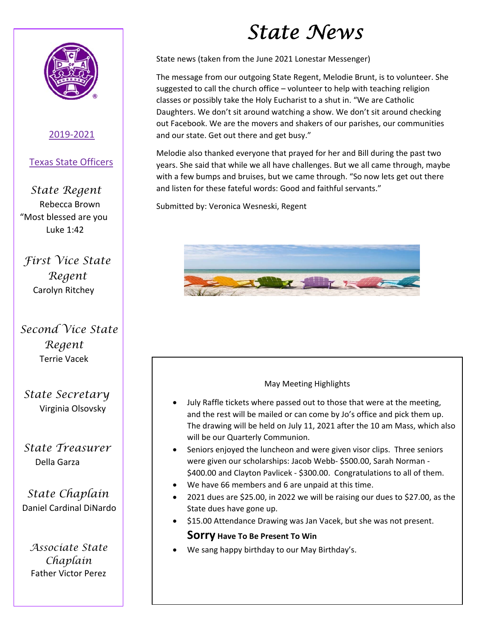

## 2019‐2021

## Texas State Officers

 *State Regent* Rebecca Brown "Most blessed are you Luke 1:42

 *First Vice State Regent*  Carolyn Ritchey

# *Second Vice State Regent*  Terrie Vacek

 *State Secretary*  Virginia Olsovsky

# *State Treasurer*  Della Garza

 *State Chaplain*  Daniel Cardinal DiNardo

*Associate State Chaplain*  Father Victor Perez

# *State News*

State news (taken from the June 2021 Lonestar Messenger)

The message from our outgoing State Regent, Melodie Brunt, is to volunteer. She suggested to call the church office – volunteer to help with teaching religion classes or possibly take the Holy Eucharist to a shut in. "We are Catholic Daughters. We don't sit around watching a show. We don't sit around checking out Facebook. We are the movers and shakers of our parishes, our communities and our state. Get out there and get busy."

Melodie also thanked everyone that prayed for her and Bill during the past two years. She said that while we all have challenges. But we all came through, maybe with a few bumps and bruises, but we came through. "So now lets get out there and listen for these fateful words: Good and faithful servants."

Submitted by: Veronica Wesneski, Regent



## May Meeting Highlights

- July Raffle tickets where passed out to those that were at the meeting, and the rest will be mailed or can come by Jo's office and pick them up. The drawing will be held on July 11, 2021 after the 10 am Mass, which also will be our Quarterly Communion.
- Seniors enjoyed the luncheon and were given visor clips. Three seniors were given our scholarships: Jacob Webb‐ \$500.00, Sarah Norman ‐ \$400.00 and Clayton Pavlicek ‐ \$300.00. Congratulations to all of them.
- We have 66 members and 6 are unpaid at this time.
- 2021 dues are \$25.00, in 2022 we will be raising our dues to \$27.00, as the State dues have gone up.
- \$15.00 Attendance Drawing was Jan Vacek, but she was not present.

## **Sorry Have To Be Present To Win**

We sang happy birthday to our May Birthday's.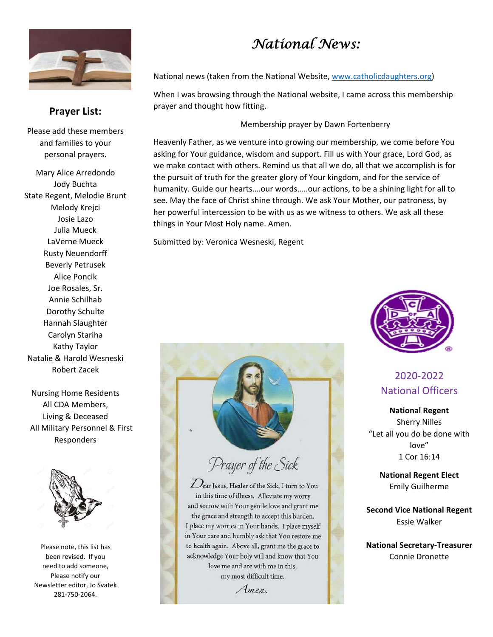

## **Prayer List:**

Please add these members and families to your personal prayers.

Mary Alice Arredondo Jody Buchta State Regent, Melodie Brunt Melody Krejci Josie Lazo Julia Mueck LaVerne Mueck Rusty Neuendorff Beverly Petrusek Alice Poncik Joe Rosales, Sr. Annie Schilhab Dorothy Schulte Hannah Slaughter Carolyn Stariha Kathy Taylor Natalie & Harold Wesneski Robert Zacek

Nursing Home Residents All CDA Members, Living & Deceased All Military Personnel & First Responders



Please note, this list has been revised. If you need to add someone, Please notify our Newsletter editor, Jo Svatek 281‐750‐2064.

# *National News:*

National news (taken from the National Website, www.catholicdaughters.org)

 When I was browsing through the National website, I came across this membership prayer and thought how fitting.

Membership prayer by Dawn Fortenberry

Heavenly Father, as we venture into growing our membership, we come before You asking for Your guidance, wisdom and support. Fill us with Your grace, Lord God, as we make contact with others. Remind us that all we do, all that we accomplish is for the pursuit of truth for the greater glory of Your kingdom, and for the service of humanity. Guide our hearts….our words…..our actions, to be a shining light for all to see. May the face of Christ shine through. We ask Your Mother, our patroness, by her powerful intercession to be with us as we witness to others. We ask all these things in Your Most Holy name. Amen.

Submitted by: Veronica Wesneski, Regent



# Prayer of the Sick

Lear Jesus, Healer of the Sick, I turn to You in this time of illness. Alleviate my worry and sorrow with Your gentle love and grant me the grace and strength to accept this burden. I place my worries in Your hands. I place myself in Your care and humbly ask that You restore me to health again. Above all, grant me the grace to acknowledge Your holy will and know that You love me and are with me in this, my most difficult time.

Amen.



# 2020‐2022 National Officers

**National Regent** Sherry Nilles "Let all you do be done with love" 1 Cor 16:14

> **National Regent Elect**  Emily Guilherme

**Second Vice National Regent**  Essie Walker

**National Secretary‐Treasurer**  Connie Dronette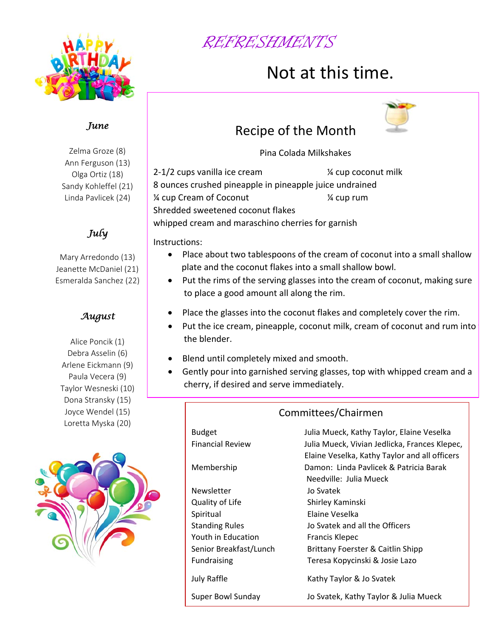

# REFRESHMENTS

# Not at this time.



Zelma Groze (8) Ann Ferguson (13) Olga Ortiz (18) Sandy Kohleffel (21) Linda Pavlicek (24)

*July* 

Mary Arredondo (13) Jeanette McDaniel (21) Esmeralda Sanchez (22)

## *August*

Alice Poncik (1) Debra Asselin (6) Arlene Eickmann (9) Paula Vecera (9) Taylor Wesneski (10) Dona Stransky (15) Joyce Wendel (15) Loretta Myska (20)



# Recipe of the Month



2‐1/2 cups vanilla ice cream ¼ cup coconut milk 8 ounces crushed pineapple in pineapple juice undrained ¼ cup Cream of Coconut ¼ cup rum Shredded sweetened coconut flakes whipped cream and maraschino cherries for garnish

Instructions:

- Place about two tablespoons of the cream of coconut into a small shallow plate and the coconut flakes into a small shallow bowl.
- Put the rims of the serving glasses into the cream of coconut, making sure to place a good amount all along the rim.
- Place the glasses into the coconut flakes and completely cover the rim.
- Put the ice cream, pineapple, coconut milk, cream of coconut and rum into t the blender.
- Blend until completely mixed and smooth.
- Gently pour into garnished serving glasses, top with whipped cream and a cherry, if desired and serve immediately.

# Committees/Chairmen

| Budget                  | Julia Mueck, Kathy Taylor, Elaine Veselka     |
|-------------------------|-----------------------------------------------|
| <b>Financial Review</b> | Julia Mueck, Vivian Jedlicka, Frances Klepec, |
|                         | Elaine Veselka, Kathy Taylor and all officers |
| Membership              | Damon: Linda Pavlicek & Patricia Barak        |
|                         | Needville: Julia Mueck                        |
| Newsletter              | Jo Svatek                                     |
| Quality of Life         | Shirley Kaminski                              |
| Spiritual               | Elaine Veselka                                |
| <b>Standing Rules</b>   | Jo Svatek and all the Officers                |
| Youth in Education      | <b>Francis Klepec</b>                         |
| Senior Breakfast/Lunch  | Brittany Foerster & Caitlin Shipp             |
| <b>Fundraising</b>      | Teresa Kopycinski & Josie Lazo                |
| July Raffle             | Kathy Taylor & Jo Svatek                      |
| Super Bowl Sunday       | Jo Svatek, Kathy Taylor & Julia Mueck         |
|                         |                                               |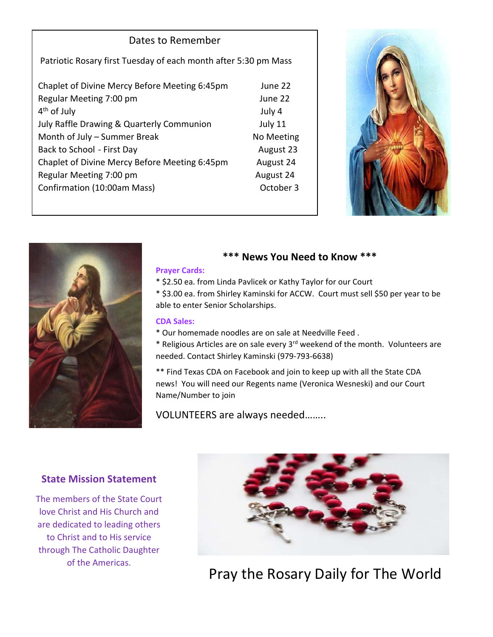## Dates to Remember

Patriotic Rosary first Tuesday of each month after 5:30 pm Mass

| Chaplet of Divine Mercy Before Meeting 6:45pm | June 22    |
|-----------------------------------------------|------------|
| Regular Meeting 7:00 pm                       | June 22    |
| $4th$ of July                                 | July 4     |
| July Raffle Drawing & Quarterly Communion     | July 11    |
| Month of July - Summer Break                  | No Meeting |
| Back to School - First Day                    | August 23  |
| Chaplet of Divine Mercy Before Meeting 6:45pm | August 24  |
| Regular Meeting 7:00 pm                       | August 24  |
| Confirmation (10:00am Mass)                   | October 3  |
|                                               |            |





## **\*\*\* News You Need to Know \*\*\***

#### **Prayer Cards:**

\* \$2.50 ea. from Linda Pavlicek or Kathy Taylor for our Court

\* \$3.00 ea. from Shirley Kaminski for ACCW. Court must sell \$50 per year to be able to enter Senior Scholarships.

#### **CDA Sales:**

\* Our homemade noodles are on sale at Needville Feed .

\* Religious Articles are on sale every 3rd weekend of the month. Volunteers are needed. Contact Shirley Kaminski (979‐793‐6638)

\*\* Find Texas CDA on Facebook and join to keep up with all the State CDA news! You will need our Regents name (Veronica Wesneski) and our Court Name/Number to join

VOLUNTEERS are always needed……..

## **State Mission Statement**

The members of the State Court love Christ and His Church and are dedicated to leading others to Christ and to His service through The Catholic Daughter of the Americas.



Pray the Rosary Daily for The World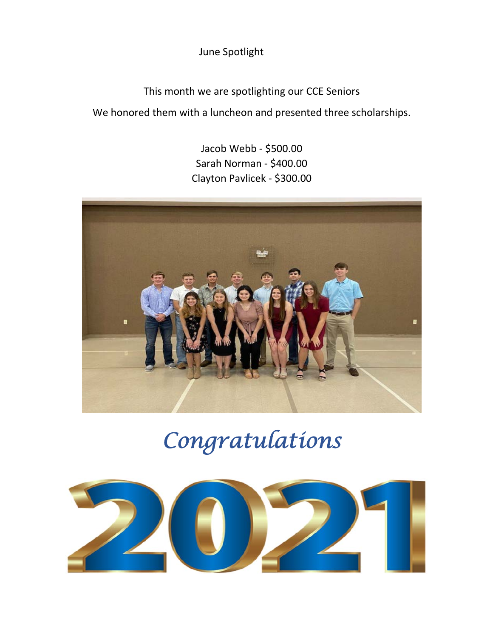June Spotlight

This month we are spotlighting our CCE Seniors

We honored them with a luncheon and presented three scholarships.

Jacob Webb ‐ \$500.00 Sarah Norman ‐ \$400.00 Clayton Pavlicek ‐ \$300.00



# *Congratulations*

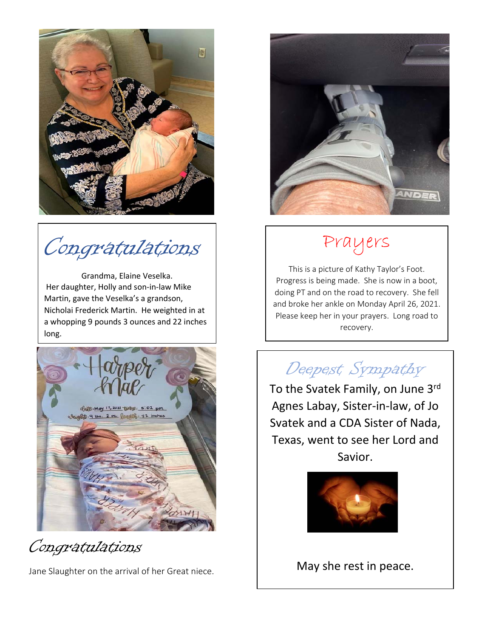

Congratulations

Grandma, Elaine Veselka. Her daughter, Holly and son‐in‐law Mike Martin, gave the Veselka's a grandson, Nicholai Frederick Martin. He weighted in at a whopping 9 pounds 3 ounces and 22 inches long.



Congratulations

Jane Slaughter on the arrival of her Great niece.



# Prayers

This is a picture of Kathy Taylor's Foot. Progress is being made. She is now in a boot, doing PT and on the road to recovery. She fell and broke her ankle on Monday April 26, 2021. Please keep her in your prayers. Long road to recovery.

# Deepest Sympathy

To the Svatek Family, on June 3rd Agnes Labay, Sister‐in‐law, of Jo Svatek and a CDA Sister of Nada, Texas, went to see her Lord and Savior.



May she rest in peace.